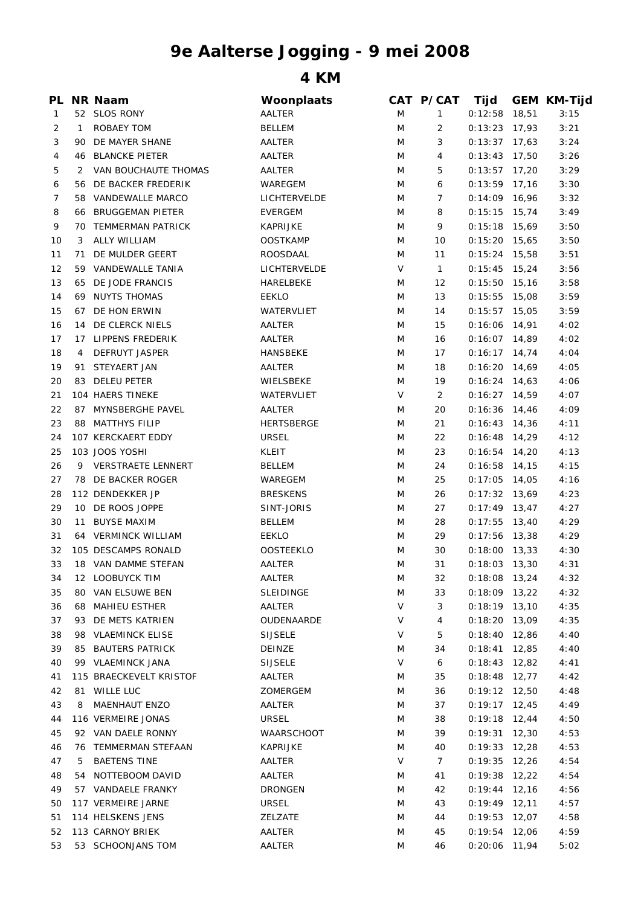## **9e Aalterse Jogging - 9 mei 2008**

**4 KM**

| PL             |              | NR Naam                   | Woonplaats        |   | CAT P/CAT      | Tijd            |       | <b>GEM KM-Tijd</b> |
|----------------|--------------|---------------------------|-------------------|---|----------------|-----------------|-------|--------------------|
| $\mathbf{1}$   |              | 52 SLOS RONY              | AALTER            | M | $\mathbf{1}$   | 0:12:58         | 18,51 | 3:15               |
| $\overline{2}$ | $\mathbf{1}$ | ROBAEY TOM                | <b>BELLEM</b>     | M | 2              | 0:13:23         | 17,93 | 3:21               |
| 3              |              | 90 DE MAYER SHANE         | AALTER            | M | 3              | $0:13:37$ 17,63 |       | 3:24               |
| 4              |              | <b>46 BLANCKE PIETER</b>  | AALTER            | M | 4              | 0:13:43         | 17,50 | 3:26               |
| 5              | 2            | VAN BOUCHAUTE THOMAS      | AALTER            | M | 5              | $0:13:57$ 17,20 |       | 3:29               |
| 6              |              | 56 DE BACKER FREDERIK     | WAREGEM           | M | 6              | $0:13:59$ 17,16 |       | 3:30               |
| 7              | 58           | VANDEWALLE MARCO          | LICHTERVELDE      | M | 7              | 0:14:09         | 16,96 | 3:32               |
| 8              | 66           | <b>BRUGGEMAN PIETER</b>   | <b>EVERGEM</b>    | M | 8              | 0:15:15         | 15,74 | 3:49               |
| 9              |              | 70 TEMMERMAN PATRICK      | <b>KAPRIJKE</b>   | M | 9              | $0:15:18$ 15,69 |       | 3:50               |
| 10             | 3            | <b>ALLY WILLIAM</b>       | <b>OOSTKAMP</b>   | M | 10             | 0:15:20         | 15,65 | 3:50               |
| 11             | 71           | DE MULDER GEERT           | ROOSDAAL          | M | 11             | 0:15:24         | 15,58 | 3:51               |
| 12             |              | 59 VANDEWALLE TANIA       | LICHTERVELDE      | V | $\mathbf{1}$   | $0:15:45$ 15,24 |       | 3:56               |
| 13             | 65           | DE JODE FRANCIS           | HARELBEKE         | M | 12             | 0:15:50         | 15,16 | 3:58               |
| 14             | 69           | NUYTS THOMAS              | <b>EEKLO</b>      | M | 13             | 0:15:55         | 15,08 | 3:59               |
| 15             |              | 67 DE HON ERWIN           | WATERVLIET        | M | 14             | 0:15:57         | 15,05 | 3:59               |
| 16             |              | 14 DE CLERCK NIELS        | AALTER            | M | 15             | 0:16:06         | 14,91 | 4:02               |
| 17             |              | 17 LIPPENS FREDERIK       | AALTER            | M | 16             | $0:16:07$ 14,89 |       | 4:02               |
| 18             | 4            | DEFRUYT JASPER            | HANSBEKE          | M | 17             | $0:16:17$ 14,74 |       | 4:04               |
| 19             | 91           | STEYAERT JAN              | AALTER            | M | 18             | $0:16:20$ 14,69 |       | 4:05               |
| 20             | 83           | <b>DELEU PETER</b>        | WIELSBEKE         | M | 19             | $0:16:24$ 14,63 |       | 4:06               |
| 21             |              | 104 HAERS TINEKE          | WATERVLIET        | V | 2              | 0:16:27         | 14,59 | 4:07               |
| 22             |              | 87 MYNSBERGHE PAVEL       | AALTER            | M | 20             | $0:16:36$ 14,46 |       | 4:09               |
| 23             | 88           | MATTHYS FILIP             | <b>HERTSBERGE</b> | M | 21             | $0:16:43$ 14,36 |       | 4:11               |
| 24             |              | 107 KERCKAERT EDDY        | <b>URSEL</b>      | M | 22             | $0:16:48$ 14,29 |       | 4:12               |
| 25             |              | 103 JOOS YOSHI            | KLEIT             | M | 23             | $0:16:54$ 14,20 |       | 4:13               |
| 26             | 9            | <b>VERSTRAETE LENNERT</b> | <b>BELLEM</b>     |   | 24             | 0:16:58         |       | 4:15               |
|                |              |                           |                   | M |                |                 | 14,15 |                    |
| 27             |              | 78 DE BACKER ROGER        | WAREGEM           | M | 25             | 0:17:05         | 14,05 | 4:16               |
| 28             |              | 112 DENDEKKER JP          | <b>BRESKENS</b>   | M | 26             | $0:17:32$ 13,69 |       | 4:23               |
| 29             |              | 10 DE ROOS JOPPE          | SINT-JORIS        | M | 27             | $0:17:49$ 13,47 |       | 4:27               |
| 30             |              | 11 BUYSE MAXIM            | <b>BELLEM</b>     | M | 28             | 0:17:55         | 13,40 | 4:29               |
| 31             |              | 64 VERMINCK WILLIAM       | <b>EEKLO</b>      | M | 29             | $0:17:56$ 13,38 |       | 4:29               |
| 32             |              | 105 DESCAMPS RONALD       | <b>OOSTEEKLO</b>  | M | 30             | $0:18:00$ 13,33 |       | 4:30               |
| 33             |              | 18 VAN DAMME STEFAN       | AALTER            | M | 31             | $0:18:03$ 13,30 |       | 4:31               |
| 34             |              | 12 LOOBUYCK TIM           | AALTER            | M | 32             | $0:18:08$ 13,24 |       | 4:32               |
| 35             |              | 80 VAN ELSUWE BEN         | <b>SLEIDINGE</b>  | M | 33             | $0:18:09$ 13,22 |       | 4:32               |
| 36             | 68           | MAHIEU ESTHER             | AALTER            | V | 3              | $0:18:19$ 13,10 |       | 4:35               |
| 37             |              | 93 DE METS KATRIEN        | OUDENAARDE        | V | 4              | $0:18:20$ 13,09 |       | 4:35               |
| 38             |              | 98 VLAEMINCK ELISE        | <b>SIJSELE</b>    | V | 5              | 0:18:40         | 12,86 | 4:40               |
| 39             |              | 85 BAUTERS PATRICK        | DEINZE            | M | 34             | $0:18:41$ 12,85 |       | 4:40               |
| 40             |              | 99 VLAEMINCK JANA         | <b>SIJSELE</b>    | V | 6              | $0:18:43$ 12,82 |       | 4:41               |
| 41             |              | 115 BRAECKEVELT KRISTOF   | AALTER            | M | 35             | $0:18:48$ 12,77 |       | 4:42               |
| 42             |              | 81 WILLE LUC              | ZOMERGEM          | M | 36             | $0:19:12$ 12,50 |       | 4:48               |
| 43             | 8            | MAENHAUT ENZO             | AALTER            | M | 37             | $0:19:17$ 12,45 |       | 4:49               |
| 44             |              | 116 VERMEIRE JONAS        | <b>URSEL</b>      | M | 38             | $0:19:18$ 12,44 |       | 4:50               |
| 45             |              | 92 VAN DAELE RONNY        | WAARSCHOOT        | M | 39             | $0:19:31$ 12,30 |       | 4:53               |
| 46             |              | 76 TEMMERMAN STEFAAN      | KAPRIJKE          | M | 40             | $0:19:33$ 12,28 |       | 4:53               |
| 47             | 5            | <b>BAETENS TINE</b>       | AALTER            | V | $\overline{7}$ | $0:19:35$ 12,26 |       | 4:54               |
| 48             |              | 54 NOTTEBOOM DAVID        | AALTER            | M | 41             | $0:19:38$ 12,22 |       | 4:54               |
| 49             |              | 57 VANDAELE FRANKY        | <b>DRONGEN</b>    | M | 42             | 0:19:44         | 12,16 | 4:56               |
| 50             |              | 117 VERMEIRE JARNE        | <b>URSEL</b>      | M | 43             | $0:19:49$ 12,11 |       | 4:57               |
| 51             |              | 114 HELSKENS JENS         | ZELZATE           | M | 44             | $0:19:53$ 12,07 |       | 4:58               |
| 52             |              | 113 CARNOY BRIEK          | AALTER            | M | 45             | $0:19:54$ 12,06 |       | 4:59               |
| 53             |              | 53 SCHOONJANS TOM         | AALTER            | M | 46             | $0:20:06$ 11,94 |       | 5:02               |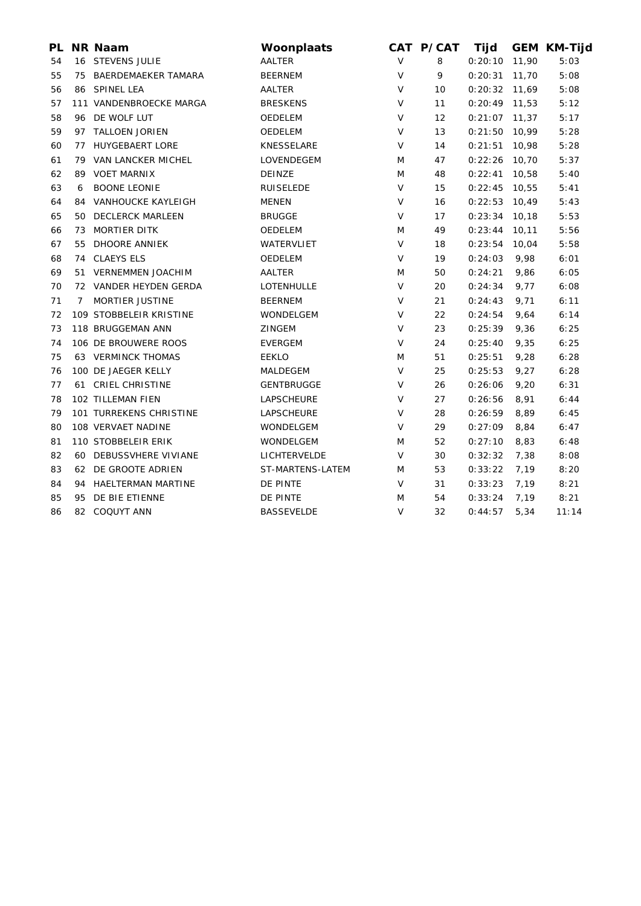| PL. |                | <b>NR Naam</b>            | Woonplaats        |        | CAT P/CAT | Tijd            |        | <b>GEM KM-Tijd</b> |
|-----|----------------|---------------------------|-------------------|--------|-----------|-----------------|--------|--------------------|
| 54  |                | 16 STEVENS JULIE          | AALTER            | V      | 8         | 0:20:10         | 11,90  | 5:03               |
| 55  |                | 75 BAERDEMAEKER TAMARA    | <b>BEERNEM</b>    | V      | 9         | 0:20:31         | 11,70  | 5:08               |
| 56  |                | 86 SPINEL LEA             | AALTER            | V      | 10        | 0:20:32         | 11,69  | 5:08               |
| 57  |                | 111 VANDENBROECKE MARGA   | <b>BRESKENS</b>   | $\vee$ | 11        | $0:20:49$ 11,53 |        | 5:12               |
| 58  |                | 96 DE WOLF LUT            | OEDELEM           | V      | 12        | $0:21:07$ 11,37 |        | 5:17               |
| 59  |                | 97 TALLOEN JORIEN         | <b>OEDELEM</b>    | $\vee$ | 13        | $0:21:50$ 10,99 |        | 5:28               |
| 60  |                | 77 HUYGEBAERT LORE        | KNESSELARE        | V      | 14        | 0:21:51         | 10,98  | 5:28               |
| 61  |                | 79 VAN LANCKER MICHEL     | LOVENDEGEM        | M      | 47        | 0:22:26         | 10,70  | 5:37               |
| 62  |                | 89 VOET MARNIX            | DEINZE            | M      | 48        | 0:22:41         | 10,58  | 5:40               |
| 63  | 6              | <b>BOONE LEONIE</b>       | <b>RUISELEDE</b>  | $\vee$ | 15        | 0:22:45         | 10,55  | 5:41               |
| 64  |                | 84 VANHOUCKE KAYLEIGH     | <b>MENEN</b>      | V      | 16        | 0:22:53         | 10,49  | 5:43               |
| 65  |                | 50 DECLERCK MARLEEN       | <b>BRUGGE</b>     | V      | 17        | 0:23:34         | 10,18  | 5:53               |
| 66  |                | 73 MORTIER DITK           | OEDELEM           | M      | 49        | 0:23:44         | 10, 11 | 5:56               |
| 67  | 55             | DHOORE ANNIEK             | WATERVLIET        | $\vee$ | 18        | 0:23:54         | 10,04  | 5:58               |
| 68  |                | 74 CLAEYS ELS             | OEDELEM           | V      | 19        | 0:24:03         | 9,98   | 6:01               |
| 69  |                | 51 VERNEMMEN JOACHIM      | AALTER            | M      | 50        | 0:24:21         | 9,86   | 6:05               |
| 70  |                | 72 VANDER HEYDEN GERDA    | LOTENHULLE        | V      | 20        | 0:24:34         | 9,77   | 6:08               |
| 71  | $\overline{7}$ | <b>MORTIER JUSTINE</b>    | <b>BEERNEM</b>    | $\vee$ | 21        | 0:24:43         | 9,71   | 6:11               |
| 72  |                | 109 STOBBELEIR KRISTINE   | WONDELGEM         | V      | 22        | 0:24:54         | 9,64   | 6:14               |
| 73  |                | 118 BRUGGEMAN ANN         | <b>ZINGEM</b>     | V      | 23        | 0:25:39         | 9,36   | 6:25               |
| 74  |                | 106 DE BROUWERE ROOS      | <b>EVERGEM</b>    | V      | 24        | 0:25:40         | 9,35   | 6:25               |
| 75  |                | <b>63 VERMINCK THOMAS</b> | <b>EEKLO</b>      | M      | 51        | 0:25:51         | 9,28   | 6:28               |
| 76  |                | 100 DE JAEGER KELLY       | MALDEGEM          | $\vee$ | 25        | 0:25:53         | 9,27   | 6:28               |
| 77  |                | 61 CRIEL CHRISTINE        | <b>GENTBRUGGE</b> | $\vee$ | 26        | 0:26:06         | 9,20   | 6:31               |
| 78  |                | 102 TILLEMAN FIEN         | LAPSCHEURE        | V      | 27        | 0:26:56         | 8,91   | 6:44               |
| 79  |                | 101 TURREKENS CHRISTINE   | LAPSCHEURE        | V      | 28        | 0:26:59         | 8,89   | 6:45               |
| 80  |                | 108 VERVAET NADINE        | WONDELGEM         | V      | 29        | 0:27:09         | 8,84   | 6:47               |
| 81  |                | 110 STOBBELEIR ERIK       | WONDELGEM         | M      | 52        | 0:27:10         | 8,83   | 6:48               |
| 82  |                | 60 DEBUSSVHERE VIVIANE    | LICHTERVELDE      | $\vee$ | 30        | 0:32:32         | 7,38   | 8:08               |
| 83  |                | 62 DE GROOTE ADRIEN       | ST-MARTENS-LATEM  | M      | 53        | 0:33:22         | 7,19   | 8:20               |
| 84  |                | 94 HAELTERMAN MARTINE     | DE PINTE          | V      | 31        | 0:33:23         | 7,19   | 8:21               |
| 85  | 95             | DE BIE ETIENNE            | DE PINTE          | M      | 54        | 0:33:24         | 7,19   | 8:21               |
| 86  |                | 82 COQUYT ANN             | <b>BASSEVELDE</b> | V      | 32        | 0:44:57         | 5,34   | 11:14              |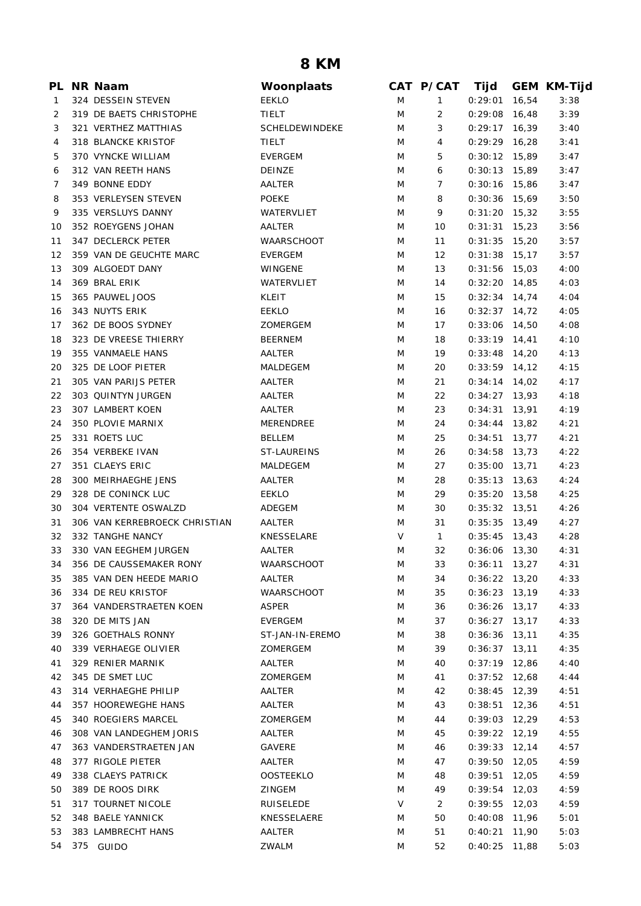## **8 KM**

|    | PL NR Naam                                 | Woonplaats        |   | CAT P/CAT    | Tijd            |       | <b>GEM KM-Tijd</b> |
|----|--------------------------------------------|-------------------|---|--------------|-----------------|-------|--------------------|
| 1  | 324 DESSEIN STEVEN                         | <b>EEKLO</b>      | M | 1            | 0:29:01         | 16,54 | 3:38               |
| 2  | 319 DE BAETS CHRISTOPHE                    | <b>TIELT</b>      | M | 2            | 0:29:08         | 16,48 | 3:39               |
| 3  | 321 VERTHEZ MATTHIAS                       | SCHELDEWINDEKE    | M | 3            | 0:29:17         | 16,39 | 3:40               |
| 4  | 318 BLANCKE KRISTOF                        | TIELT             | M | 4            | $0:29:29$ 16,28 |       | 3:41               |
| 5  | 370 VYNCKE WILLIAM                         | EVERGEM           | M | 5            | $0:30:12$ 15,89 |       | 3:47               |
| 6  | 312 VAN REETH HANS                         | DEINZE            | M | 6            | $0:30:13$ 15,89 |       | 3:47               |
| 7  | 349 BONNE EDDY                             | AALTER            | M | 7            | $0:30:16$ 15,86 |       | 3:47               |
| 8  | 353 VERLEYSEN STEVEN                       | <b>POEKE</b>      | M | 8            | $0:30:36$ 15,69 |       | 3:50               |
| 9  | 335 VERSLUYS DANNY                         | WATERVLIET        | M | 9            | $0:31:20$ 15,32 |       | 3:55               |
| 10 | 352 ROEYGENS JOHAN                         | AALTER            | M | 10           | $0:31:31$ 15,23 |       | 3:56               |
| 11 | 347 DECLERCK PETER                         | <b>WAARSCHOOT</b> | M | 11           | $0:31:35$ 15,20 |       | 3:57               |
| 12 | 359 VAN DE GEUCHTE MARC                    | <b>EVERGEM</b>    | M | 12           | $0:31:38$ 15,17 |       | 3:57               |
| 13 | 309 ALGOEDT DANY                           | WINGENE           | M | 13           | $0:31:56$ 15,03 |       | 4:00               |
| 14 | 369 BRAL ERIK                              | WATERVLIET        | M | 14           | $0:32:20$ 14,85 |       | 4:03               |
| 15 | 365 PAUWEL JOOS                            | KLEIT             | M | 15           | $0:32:34$ 14,74 |       | 4:04               |
| 16 | 343 NUYTS ERIK                             | <b>EEKLO</b>      | M | 16           | $0:32:37$ 14,72 |       | 4:05               |
| 17 | 362 DE BOOS SYDNEY                         | ZOMERGEM          | M | 17           | $0:33:06$ 14,50 |       | 4:08               |
| 18 | 323 DE VREESE THIERRY                      | <b>BEERNEM</b>    | M | 18           | $0:33:19$ 14,41 |       | 4:10               |
| 19 | 355 VANMAELE HANS                          | AALTER            | M | 19           | $0:33:48$ 14,20 |       | 4:13               |
| 20 | 325 DE LOOF PIETER                         | <b>MALDEGEM</b>   | M | 20           | $0:33:59$ 14,12 |       | 4:15               |
| 21 | 305 VAN PARIJS PETER                       | AALTER            | M | 21           | $0:34:14$ 14,02 |       | 4:17               |
| 22 | 303 QUINTYN JURGEN                         | AALTER            | M | 22           | $0:34:27$ 13,93 |       | 4:18               |
| 23 | 307 LAMBERT KOEN                           | AALTER            | M | 23           | 0:34:31         | 13,91 | 4:19               |
| 24 | 350 PLOVIE MARNIX                          | MERENDREE         | M | 24           | 0:34:44         | 13,82 | 4:21               |
| 25 | 331 ROETS LUC                              | <b>BELLEM</b>     | M | 25           | $0:34:51$ 13,77 |       | 4:21               |
| 26 | 354 VERBEKE IVAN                           | ST-LAUREINS       | M | 26           | $0:34:58$ 13,73 |       | 4:22               |
| 27 | 351 CLAEYS ERIC                            | MALDEGEM          | M | 27           | $0:35:00$ 13,71 |       | 4:23               |
| 28 | 300 MEIRHAEGHE JENS                        |                   | M |              | $0:35:13$ 13,63 |       | 4:24               |
|    |                                            | AALTER            |   | 28           |                 |       |                    |
| 29 | 328 DE CONINCK LUC<br>304 VERTENTE OSWALZD | <b>EEKLO</b>      | M | 29           | $0:35:20$ 13,58 |       | 4:25               |
| 30 |                                            | ADEGEM            | M | 30           | $0:35:32$ 13,51 |       | 4:26               |
| 31 | 306 VAN KERREBROECK CHRISTIAN              | AALTER            | M | 31           | $0:35:35$ 13,49 |       | 4:27               |
| 32 | 332 TANGHE NANCY                           | KNESSELARE        | V | $\mathbf{1}$ | $0:35:45$ 13,43 |       | 4:28               |
| 33 | 330 VAN EEGHEM JURGEN                      | AALTER            | M | 32           | $0:36:06$ 13,30 |       | 4:31               |
|    | 34 356 DE CAUSSEMAKER RONY                 | WAARSCHOOT        | M | 33           | $0:36:11$ 13,27 |       | 4:31               |
| 35 | 385 VAN DEN HEEDE MARIO                    | AALTER            | M | 34           | $0:36:22$ 13,20 |       | 4:33               |
| 36 | 334 DE REU KRISTOF                         | WAARSCHOOT        | M | 35           | $0:36:23$ 13,19 |       | 4:33               |
| 37 | 364 VANDERSTRAETEN KOEN                    | <b>ASPER</b>      | M | 36           | $0:36:26$ 13,17 |       | 4:33               |
| 38 | 320 DE MITS JAN                            | EVERGEM           | M | 37           | $0:36:27$ 13,17 |       | 4:33               |
| 39 | 326 GOETHALS RONNY                         | ST-JAN-IN-EREMO   | M | 38           | 0:36:36         | 13,11 | 4:35               |
| 40 | 339 VERHAEGE OLIVIER                       | ZOMERGEM          | M | 39           | $0:36:37$ 13,11 |       | 4:35               |
| 41 | 329 RENIER MARNIK                          | AALTER            | M | 40           | $0:37:19$ 12,86 |       | 4:40               |
| 42 | 345 DE SMET LUC                            | ZOMERGEM          | M | 41           | $0:37:52$ 12,68 |       | 4:44               |
| 43 | 314 VERHAEGHE PHILIP                       | AALTER            | M | 42           | $0:38:45$ 12,39 |       | 4:51               |
| 44 | 357 HOOREWEGHE HANS                        | AALTER            | M | 43           | $0:38:51$ 12,36 |       | 4:51               |
| 45 | 340 ROEGIERS MARCEL                        | ZOMERGEM          | M | 44           | $0:39:03$ 12,29 |       | 4:53               |
| 46 | 308 VAN LANDEGHEM JORIS                    | AALTER            | M | 45           | $0:39:22$ 12,19 |       | 4:55               |
| 47 | 363 VANDERSTRAETEN JAN                     | GAVERE            | M | 46           | 0:39:33         | 12,14 | 4:57               |
| 48 | 377 RIGOLE PIETER                          | AALTER            | M | 47           | 0:39:50         | 12,05 | 4:59               |
| 49 | 338 CLAEYS PATRICK                         | <b>OOSTEEKLO</b>  | M | 48           | 0:39:51         | 12,05 | 4:59               |
| 50 | 389 DE ROOS DIRK                           | <b>ZINGEM</b>     | M | 49           | 0:39:54         | 12,03 | 4:59               |
| 51 | 317 TOURNET NICOLE                         | <b>RUISELEDE</b>  | V | 2            | 0:39:55         | 12,03 | 4:59               |
| 52 | 348 BAELE YANNICK                          | KNESSELAERE       | M | 50           | 0:40:08         | 11,96 | 5:01               |
| 53 | 383 LAMBRECHT HANS                         | AALTER            | M | 51           | 0:40:21         | 11,90 | 5:03               |
| 54 | 375 GUIDO                                  | ZWALM             | M | 52           | $0:40:25$ 11,88 |       | 5:03               |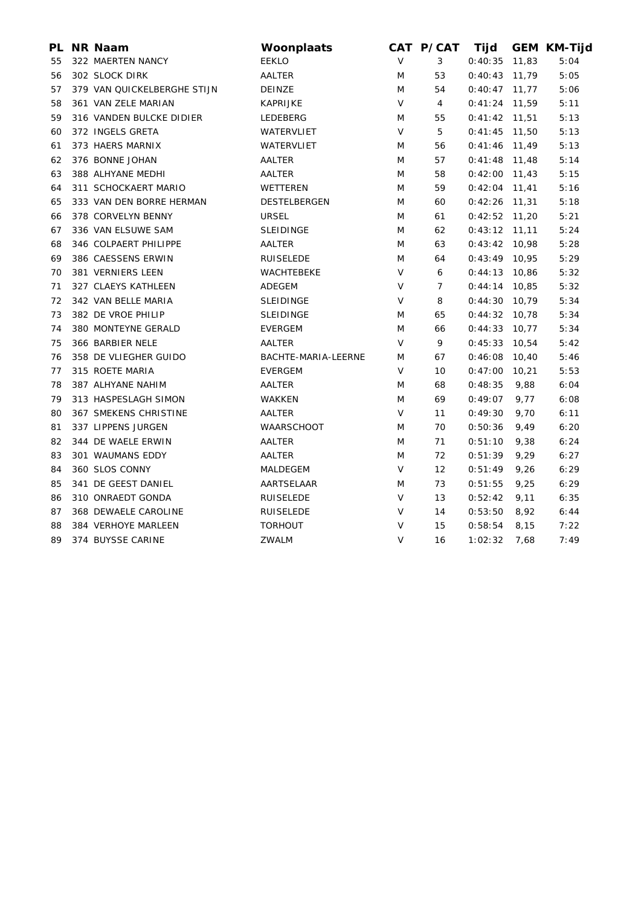| PL | NR Naam                     | Woonplaats          |        | CAT P/CAT         | Tijd            |       | <b>GEM KM-Tijd</b> |
|----|-----------------------------|---------------------|--------|-------------------|-----------------|-------|--------------------|
| 55 | 322 MAERTEN NANCY           | <b>EEKLO</b>        | $\vee$ | 3                 | 0:40:35         | 11,83 | 5:04               |
| 56 | 302 SLOCK DIRK              | AALTER              | M      | 53                | 0:40:43         | 11,79 | 5:05               |
| 57 | 379 VAN QUICKELBERGHE STIJN | DEINZE              | M      | 54                | $0:40:47$ 11,77 |       | 5:06               |
| 58 | 361 VAN ZELE MARIAN         | <b>KAPRIJKE</b>     | $\vee$ | 4                 | $0:41:24$ 11,59 |       | 5:11               |
| 59 | 316 VANDEN BULCKE DIDIER    | LEDEBERG            | M      | 55                | $0:41:42$ 11,51 |       | 5:13               |
| 60 | 372 INGELS GRETA            | WATERVLIET          | V      | 5                 | $0:41:45$ 11,50 |       | 5:13               |
| 61 | 373 HAERS MARNIX            | WATERVLIET          | M      | 56                | 0:41:46         | 11,49 | 5:13               |
| 62 | 376 BONNE JOHAN             | AALTER              | M      | 57                | $0:41:48$ 11,48 |       | 5:14               |
| 63 | 388 ALHYANE MEDHI           | AALTER              | M      | 58                | $0:42:00$ 11,43 |       | 5:15               |
| 64 | 311 SCHOCKAERT MARIO        | WETTEREN            | M      | 59                | 0:42:04         | 11,41 | 5:16               |
| 65 | 333 VAN DEN BORRE HERMAN    | DESTELBERGEN        | M      | 60                | 0:42:26         | 11,31 | 5:18               |
| 66 | 378 CORVELYN BENNY          | <b>URSEL</b>        | M      | 61                | $0:42:52$ 11,20 |       | 5:21               |
| 67 | 336 VAN ELSUWE SAM          | <b>SLEIDINGE</b>    | M      | 62                | $0:43:12$ 11,11 |       | 5:24               |
| 68 | 346 COLPAERT PHILIPPE       | AALTER              | M      | 63                | $0:43:42$ 10,98 |       | 5:28               |
| 69 | 386 CAESSENS ERWIN          | <b>RUISELEDE</b>    | M      | 64                | $0:43:49$ 10,95 |       | 5:29               |
| 70 | 381 VERNIERS LEEN           | WACHTEBEKE          | V      | 6                 | 0:44:13         | 10,86 | 5:32               |
| 71 | 327 CLAEYS KATHLEEN         | ADEGEM              | V      | 7                 | 0:44:14         | 10,85 | 5:32               |
| 72 | 342 VAN BELLE MARIA         | <b>SLEIDINGE</b>    | V      | 8                 | 0:44:30         | 10,79 | 5:34               |
| 73 | 382 DE VROE PHILIP          | <b>SLEIDINGE</b>    | M      | 65                | 0:44:32         | 10,78 | 5:34               |
| 74 | 380 MONTEYNE GERALD         | <b>EVERGEM</b>      | M      | 66                | 0:44:33         | 10,77 | 5:34               |
| 75 | 366 BARBIER NELE            | AALTER              | $\vee$ | 9                 | 0:45:33         | 10,54 | 5:42               |
| 76 | 358 DE VLIEGHER GUIDO       | BACHTE-MARIA-LEERNE | M      | 67                | 0:46:08         | 10,40 | 5:46               |
| 77 | 315 ROETE MARIA             | <b>EVERGEM</b>      | V      | 10                | 0:47:00         | 10,21 | 5:53               |
| 78 | 387 ALHYANE NAHIM           | AALTER              | M      | 68                | 0:48:35         | 9,88  | 6:04               |
| 79 | 313 HASPESLAGH SIMON        | WAKKEN              | M      | 69                | 0:49:07         | 9,77  | 6:08               |
| 80 | 367 SMEKENS CHRISTINE       | AALTER              | V      | 11                | 0:49:30         | 9,70  | 6:11               |
| 81 | 337 LIPPENS JURGEN          | <b>WAARSCHOOT</b>   | M      | 70                | 0:50:36         | 9,49  | 6:20               |
| 82 | 344 DE WAELE ERWIN          | AALTER              | M      | 71                | 0:51:10         | 9,38  | 6:24               |
| 83 | 301 WAUMANS EDDY            | AALTER              | M      | 72                | 0:51:39         | 9,29  | 6:27               |
| 84 | 360 SLOS CONNY              | MALDEGEM            | V      | $12 \overline{ }$ | 0:51:49         | 9,26  | 6:29               |
| 85 | 341 DE GEEST DANIEL         | AARTSELAAR          | M      | 73                | 0:51:55         | 9,25  | 6:29               |
| 86 | 310 ONRAEDT GONDA           | RUISELEDE           | V      | 13                | 0:52:42         | 9,11  | 6:35               |
| 87 | 368 DEWAELE CAROLINE        | <b>RUISELEDE</b>    | V      | 14                | 0:53:50         | 8,92  | 6:44               |
| 88 | 384 VERHOYE MARLEEN         | <b>TORHOUT</b>      | $\vee$ | 15                | 0:58:54         | 8,15  | 7:22               |
| 89 | 374 BUYSSE CARINE           | ZWALM               | $\vee$ | 16                | 1:02:32         | 7,68  | 7:49               |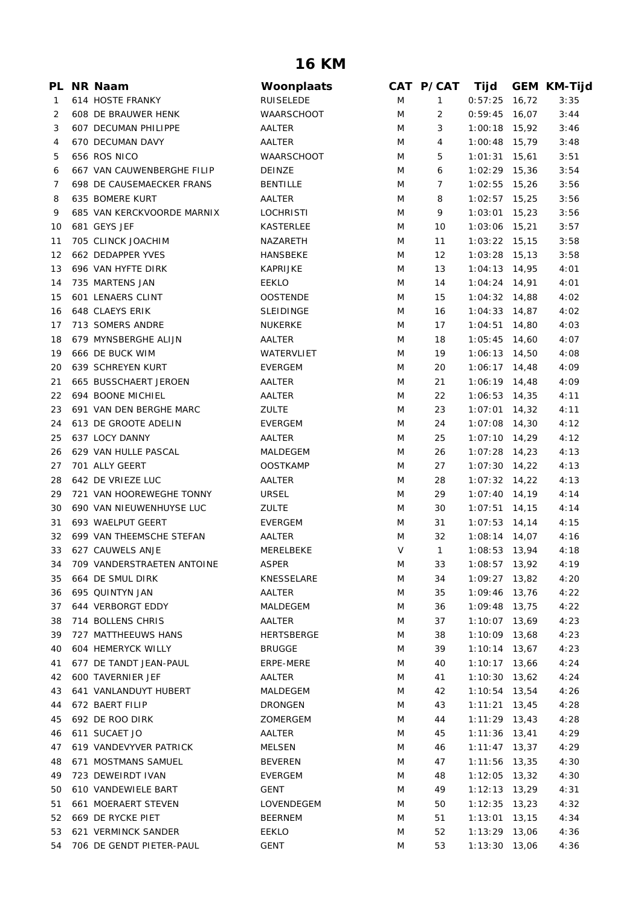## **16 KM**

|          | PL NR Naam                    | Woonplaats         |        | CAT P/CAT      | Tijd            |       | <b>GEM KM-Tijd</b> |
|----------|-------------------------------|--------------------|--------|----------------|-----------------|-------|--------------------|
| 1        | 614 HOSTE FRANKY              | RUISELEDE          | M      | 1              | 0:57:25         | 16,72 | 3:35               |
| 2        | 608 DE BRAUWER HENK           | <b>WAARSCHOOT</b>  | M      | $\overline{2}$ | 0:59:45         | 16,07 | 3:44               |
| 3        | 607 DECUMAN PHILIPPE          | AALTER             | M      | 3              | $1:00:18$ 15,92 |       | 3:46               |
| 4        | 670 DECUMAN DAVY              | AALTER             | M      | 4              | $1:00:48$ 15,79 |       | 3:48               |
| 5        | 656 ROS NICO                  | <b>WAARSCHOOT</b>  | M      | 5              | $1:01:31$ 15,61 |       | 3:51               |
| 6        | 667 VAN CAUWENBERGHE FILIP    | <b>DEINZE</b>      | M      | 6              | $1:02:29$ 15,36 |       | 3:54               |
| 7        | 698 DE CAUSEMAECKER FRANS     | <b>BENTILLE</b>    | M      | 7              | $1:02:55$ 15,26 |       | 3:56               |
| 8        | 635 BOMERE KURT               | AALTER             | M      | 8              | $1:02:57$ 15,25 |       | 3:56               |
| 9        | 685 VAN KERCKVOORDE MARNIX    | <b>LOCHRISTI</b>   | M      | 9              | 1:03:01         | 15,23 | 3:56               |
| 10       | 681 GEYS JEF                  | KASTERLEE          | M      | 10             | $1:03:06$ 15,21 |       | 3:57               |
| 11       | 705 CLINCK JOACHIM            | NAZARETH           | M      | 11             | $1:03:22$ 15,15 |       | 3:58               |
| 12       | 662 DEDAPPER YVES             | HANSBEKE           | M      | 12             | $1:03:28$ 15,13 |       | 3:58               |
| 13       | 696 VAN HYFTE DIRK            | <b>KAPRIJKE</b>    | M      | 13             | $1:04:13$ 14,95 |       | 4:01               |
| 14       | 735 MARTENS JAN               | EEKLO              | M      | 14             | $1:04:24$ 14,91 |       | 4:01               |
| 15       | 601 LENAERS CLINT             | <b>OOSTENDE</b>    | M      | 15             | $1:04:32$ 14,88 |       | 4:02               |
| 16       | 648 CLAEYS ERIK               | <b>SLEIDINGE</b>   | M      | 16             | $1:04:33$ 14,87 |       | 4:02               |
| 17       | 713 SOMERS ANDRE              | NUKERKE            | M      | 17             | $1:04:51$ 14,80 |       | 4:03               |
| 18       | 679 MYNSBERGHE ALIJN          | AALTER             | M      | 18             | $1:05:45$ 14,60 |       | 4:07               |
| 19       | 666 DE BUCK WIM               | WATERVLIET         | M      | 19             | $1:06:13$ 14,50 |       | 4:08               |
| 20       | 639 SCHREYEN KURT             | <b>EVERGEM</b>     | M      | 20             | $1:06:17$ 14,48 |       | 4:09               |
| 21       | 665 BUSSCHAERT JEROEN         | AALTER             | M      | 21             | $1:06:19$ 14,48 |       | 4:09               |
| 22       | 694 BOONE MICHIEL             | AALTER             | M      | 22             | $1:06:53$ 14,35 |       | 4:11               |
| 23       | 691 VAN DEN BERGHE MARC       | <b>ZULTE</b>       | M      | 23             | $1:07:01$ 14,32 |       | 4:11               |
| 24       | 613 DE GROOTE ADELIN          | <b>EVERGEM</b>     | M      | 24             | $1:07:08$ 14,30 |       | 4:12               |
| 25       | 637 LOCY DANNY                | AALTER             | M      | 25             | $1:07:10$ 14,29 |       | 4:12               |
| 26       | 629 VAN HULLE PASCAL          | MALDEGEM           | M      | 26             | $1:07:28$ 14,23 |       | 4:13               |
| 27       | 701 ALLY GEERT                | <b>OOSTKAMP</b>    | M      | 27             | $1:07:30$ 14,22 |       | 4:13               |
| 28       | 642 DE VRIEZE LUC             | AALTER             | M      | 28             | $1:07:32$ 14,22 |       | 4:13               |
| 29       | 721 VAN HOOREWEGHE TONNY      | <b>URSEL</b>       | M      | 29             | $1:07:40$ 14,19 |       | 4:14               |
| 30       | 690 VAN NIEUWENHUYSE LUC      | <b>ZULTE</b>       | M      | 30             | $1:07:51$ 14,15 |       | 4:14               |
| 31       | 693 WAELPUT GEERT             | <b>EVERGEM</b>     | M      | 31             | $1:07:53$ 14,14 |       | 4:15               |
| 32       | 699 VAN THEEMSCHE STEFAN      | AALTER             | M      | 32             | $1:08:14$ 14,07 |       | 4:16               |
| 33       | 627 CAUWELS ANJE              | MERELBEKE          | V      | $\mathbf{1}$   | $1:08:53$ 13,94 |       | 4:18               |
|          | 34 709 VANDERSTRAETEN ANTOINE | ASPER              | M      | 33             | 1:08:57 13,92   |       | 4:19               |
| 35       | 664 DE SMUL DIRK              | KNESSELARE         | M      | 34             | 1:09:27         | 13,82 | 4:20               |
| 36       | 695 QUINTYN JAN               | AALTER             | Μ      | 35             | 1:09:46         | 13,76 | 4:22               |
| 37       | 644 VERBORGT EDDY             | MALDEGEM           | Μ      | 36             | 1:09:48         | 13,75 | 4:22               |
| 38       | 714 BOLLENS CHRIS             | AALTER             | M      | 37             | $1:10:07$ 13,69 |       | 4:23               |
| 39       | 727 MATTHEEUWS HANS           | <b>HERTSBERGE</b>  | M      | 38             | 1:10:09         | 13,68 | 4:23               |
| 40       | 604 HEMERYCK WILLY            | <b>BRUGGE</b>      | M      | 39             | 1:10:14         | 13,67 | 4:23               |
| 41       | 677 DE TANDT JEAN-PAUL        | ERPE-MERE          | M      | 40             | $1:10:17$ 13,66 |       | 4:24               |
| 42       | 600 TAVERNIER JEF             | AALTER             | M      | 41             | $1:10:30$ 13,62 |       | 4:24               |
| 43       | 641 VANLANDUYT HUBERT         | MALDEGEM           | M      | 42             | $1:10:54$ 13,54 |       | 4:26               |
| 44       | 672 BAERT FILIP               | <b>DRONGEN</b>     | M      | 43             | $1:11:21$ 13,45 |       | 4:28               |
| 45       | 692 DE ROO DIRK               | ZOMERGEM           | M      | 44             | $1:11:29$ 13,43 |       | 4:28               |
| 46       | 611 SUCAET JO                 | AALTER             | M      | 45             | $1:11:36$ 13,41 |       | 4:29               |
| 47       | 619 VANDEVYVER PATRICK        | MELSEN             | M      | 46             | $1:11:47$ 13,37 |       | 4:29               |
|          | 671 MOSTMANS SAMUEL           | <b>BEVEREN</b>     |        |                | 1:11:56         |       | 4:30               |
| 48<br>49 | 723 DEWEIRDT IVAN             |                    | M<br>M | 47             | $1:12:05$ 13,32 | 13,35 | 4:30               |
|          | 610 VANDEWIELE BART           | EVERGEM            |        | 48<br>49       | $1:12:13$ 13,29 |       |                    |
| 50<br>51 | 661 MOERAERT STEVEN           | GENT<br>LOVENDEGEM | Μ<br>Μ | 50             | $1:12:35$ 13,23 |       | 4:31<br>4:32       |
| 52       | 669 DE RYCKE PIET             | <b>BEERNEM</b>     | M      | 51             | $1:13:01$ 13,15 |       | 4:34               |
| 53       | 621 VERMINCK SANDER           |                    |        |                |                 |       |                    |
|          |                               | EEKLO              | M      | 52             | 1:13:29         | 13,06 | 4:36               |
| 54       | 706 DE GENDT PIETER-PAUL      | <b>GENT</b>        | M      | 53             | $1:13:30$ 13,06 |       | 4:36               |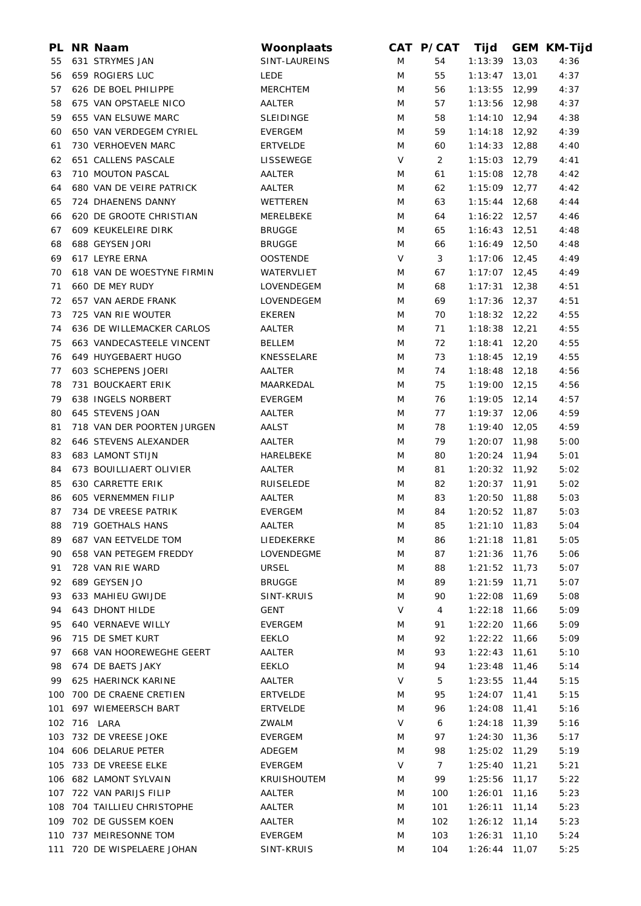| PL  | <b>NR Naam</b>                                          | Woonplaats                    |        | CAT P/CAT            | Tijd            |       | <b>GEM KM-Tijd</b> |
|-----|---------------------------------------------------------|-------------------------------|--------|----------------------|-----------------|-------|--------------------|
| 55  | 631 STRYMES JAN                                         | SINT-LAUREINS                 | M      | 54                   | 1:13:39         | 13,03 | 4:36               |
| 56  | 659 ROGIERS LUC                                         | <b>LEDE</b>                   | M      | 55                   | 1:13:47         | 13,01 | 4:37               |
| 57  | 626 DE BOEL PHILIPPE                                    | <b>MERCHTEM</b>               | M      | 56                   | $1:13:55$ 12,99 |       | 4:37               |
| 58  | 675 VAN OPSTAELE NICO                                   | AALTER                        | M      | 57                   | 1:13:56 12,98   |       | 4:37               |
| 59  | 655 VAN ELSUWE MARC                                     | <b>SLEIDINGE</b>              | M      | 58                   | $1:14:10$ 12,94 |       | 4:38               |
| 60  | 650 VAN VERDEGEM CYRIEL                                 | <b>EVERGEM</b>                | M      | 59                   | $1:14:18$ 12,92 |       | 4:39               |
| 61  | 730 VERHOEVEN MARC                                      | <b>ERTVELDE</b>               | M      | 60                   | $1:14:33$ 12,88 |       | 4:40               |
| 62  | 651 CALLENS PASCALE                                     | LISSEWEGE                     | $\vee$ | $\overline{2}$       | 1:15:03 12,79   |       | 4:41               |
| 63  | 710 MOUTON PASCAL                                       | AALTER                        | M      | 61                   | $1:15:08$ 12,78 |       | 4:42               |
| 64  | 680 VAN DE VEIRE PATRICK                                | AALTER                        | M      | 62                   | 1:15:09         | 12,77 | 4:42               |
| 65  | 724 DHAENENS DANNY                                      | WETTEREN                      | M      | 63                   | $1:15:44$ 12,68 |       | 4:44               |
| 66  | 620 DE GROOTE CHRISTIAN                                 | MERELBEKE                     | M      | 64                   | $1:16:22$ 12,57 |       | 4:46               |
| 67  | 609 KEUKELEIRE DIRK                                     | <b>BRUGGE</b>                 | M      | 65                   | $1:16:43$ 12,51 |       | 4:48               |
| 68  | 688 GEYSEN JORI                                         | <b>BRUGGE</b>                 | M      | 66                   | $1:16:49$ 12,50 |       | 4:48               |
| 69  | 617 LEYRE ERNA                                          | <b>OOSTENDE</b>               | V      | 3                    | $1:17:06$ 12,45 |       | 4:49               |
| 70  | 618 VAN DE WOESTYNE FIRMIN                              | WATERVLIET                    | M      | 67                   | $1:17:07$ 12,45 |       | 4:49               |
| 71  | 660 DE MEY RUDY                                         | LOVENDEGEM                    | M      | 68                   | $1:17:31$ 12,38 |       | 4:51               |
| 72  | 657 VAN AERDE FRANK                                     | LOVENDEGEM                    | M      | 69                   | $1:17:36$ 12,37 |       | 4:51               |
| 73  | 725 VAN RIE WOUTER                                      | <b>EKEREN</b>                 | M      | 70                   | $1:18:32$ 12,22 |       | 4:55               |
| 74  | 636 DE WILLEMACKER CARLOS                               | AALTER                        | M      | 71                   | $1:18:38$ 12,21 |       | 4:55               |
| 75  | 663 VANDECASTEELE VINCENT                               | <b>BELLEM</b>                 | M      | 72                   | 1:18:41         | 12,20 | 4:55               |
| 76  | 649 HUYGEBAERT HUGO                                     | KNESSELARE                    | M      | 73                   | $1:18:45$ 12,19 |       | 4:55               |
| 77  | 603 SCHEPENS JOERI                                      | AALTER                        | M      | 74                   | $1:18:48$ 12,18 |       | 4:56               |
| 78  | 731 BOUCKAERT ERIK                                      | MAARKEDAL                     | M      | 75                   | $1:19:00$ 12,15 |       | 4:56               |
| 79  | 638 INGELS NORBERT                                      | <b>EVERGEM</b>                | M      | 76                   | $1:19:05$ 12,14 |       | 4:57               |
| 80  | 645 STEVENS JOAN                                        | AALTER                        | M      | 77                   | $1:19:37$ 12,06 |       | 4:59               |
| 81  | 718 VAN DER POORTEN JURGEN                              | AALST                         | M      | 78                   | $1:19:40$ 12,05 |       | 4:59               |
| 82  | 646 STEVENS ALEXANDER                                   | AALTER                        | M      | 79                   | 1:20:07 11,98   |       | 5:00               |
| 83  | 683 LAMONT STIJN                                        | HARELBEKE                     | M      | 80                   | $1:20:24$ 11,94 |       | 5:01               |
| 84  | 673 BOUILLIAERT OLIVIER                                 | AALTER                        | M      | 81                   | $1:20:32$ 11,92 |       | 5:02               |
| 85  | <b>630 CARRETTE ERIK</b>                                | <b>RUISELEDE</b>              | M      | 82                   | $1:20:37$ 11,91 |       | 5:02               |
| 86  | 605 VERNEMMEN FILIP                                     | AALTER                        | M      | 83                   | $1:20:50$ 11,88 |       | 5:03               |
| 87  | 734 DE VREESE PATRIK                                    | <b>EVERGEM</b>                | M      | 84                   | $1:20:52$ 11,87 |       | 5:03               |
|     | 88 719 GOETHALS HANS                                    | AALTER                        | M      | 85                   | $1:21:10$ 11,83 |       | 5:04               |
| 89  | 687 VAN EETVELDE TOM                                    | LIEDEKERKE                    | M      | 86                   | $1:21:18$ 11,81 |       | 5:05               |
| 90  | 658 VAN PETEGEM FREDDY                                  | LOVENDEGME                    | M      | 87                   | $1:21:36$ 11,76 |       | 5:06               |
| 91  | 728 VAN RIE WARD                                        | <b>URSEL</b>                  | M      | 88                   | $1:21:52$ 11,73 |       | 5:07               |
| 92  | 689 GEYSEN JO                                           | <b>BRUGGE</b>                 | M      | 89                   | $1:21:59$ 11,71 |       | 5:07               |
| 93  | 633 MAHIEU GWIJDE                                       | SINT-KRUIS                    | M      | 90                   | 1:22:08 11,69   |       | 5:08               |
| 94  | 643 DHONT HILDE                                         | GENT                          | V      | 4                    | $1:22:18$ 11,66 |       | 5:09               |
| 95  | 640 VERNAEVE WILLY                                      | <b>EVERGEM</b>                | M      | 91                   | 1:22:20 11,66   |       | 5:09               |
| 96  | 715 DE SMET KURT                                        | EEKLO                         | M      | 92                   | $1:22:22$ 11,66 |       | 5:09               |
| 97  | 668 VAN HOOREWEGHE GEERT                                | AALTER                        | M      | 93                   | $1:22:43$ 11,61 |       | 5:10               |
| 98  | 674 DE BAETS JAKY                                       | EEKLO                         | M      | 94                   | $1:23:48$ 11,46 |       | 5:14               |
| 99. | 625 HAERINCK KARINE                                     | AALTER                        | V      | 5                    | $1:23:55$ 11,44 |       | 5:15               |
|     | 100 700 DE CRAENE CRETIEN                               | <b>ERTVELDE</b>               | M      | 95                   | $1:24:07$ 11,41 |       | 5:15               |
| 101 | 697 WIEMEERSCH BART                                     | <b>ERTVELDE</b>               | M      | 96                   | $1:24:08$ 11,41 |       | 5:16               |
|     | 102 716 LARA                                            | ZWALM                         | V      | 6                    | $1:24:18$ 11,39 |       | 5:16               |
|     | 103 732 DE VREESE JOKE                                  | <b>EVERGEM</b>                |        | 97                   | $1:24:30$ 11,36 |       | 5:17               |
|     | 104 606 DELARUE PETER                                   | ADEGEM                        | M<br>M |                      | $1:25:02$ 11,29 |       | 5:19               |
|     |                                                         |                               | V      | 98                   |                 |       |                    |
|     | 105 733 DE VREESE ELKE<br>106 682 LAMONT SYLVAIN        | <b>EVERGEM</b><br>KRUISHOUTEM |        | $\overline{7}$<br>99 | $1:25:40$ 11,21 |       | 5:21<br>5:22       |
|     |                                                         |                               | M      |                      | 1:25:56 11,17   |       |                    |
|     | 107 722 VAN PARIJS FILIP<br>108 704 TAILLIEU CHRISTOPHE | AALTER                        | M      | 100                  | $1:26:01$ 11,16 |       | 5:23               |
|     |                                                         | AALTER                        | M      | 101                  | $1:26:11$ 11,14 |       | 5:23               |
|     | 109 702 DE GUSSEM KOEN                                  | AALTER                        | M      | 102                  | $1:26:12$ 11,14 |       | 5:23               |
|     | 110 737 MEIRESONNE TOM                                  | <b>EVERGEM</b>                | M      | 103                  | $1:26:31$ 11,10 |       | 5:24               |
|     | 111 720 DE WISPELAERE JOHAN                             | SINT-KRUIS                    | M      | 104                  | $1:26:44$ 11,07 |       | 5:25               |